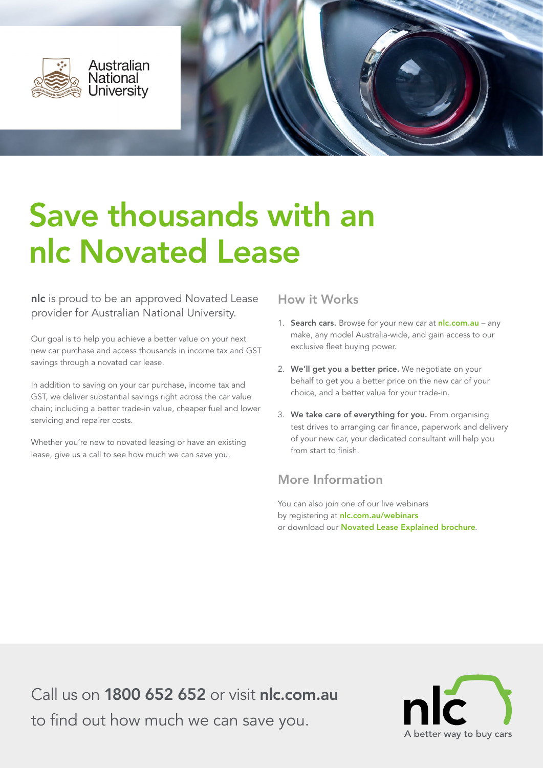



# Save thousands with an nlc Novated Lease

nlc is proud to be an approved Novated Lease provider for Australian National University.

Our goal is to help you achieve a better value on your next new car purchase and access thousands in income tax and GST savings through a novated car lease.

In addition to saving on your car purchase, income tax and GST, we deliver substantial savings right across the car value chain; including a better trade-in value, cheaper fuel and lower servicing and repairer costs.

Whether you're new to novated leasing or have an existing lease, give us a call to see how much we can save you.

### How it Works

- 1. Search cars. Browse for your new car at nic.com.au any make, any model Australia-wide, and gain access to our exclusive fleet buying power.
- 2. We'll get you a better price. We negotiate on your behalf to get you a better price on the new car of your choice, and a better value for your trade-in.
- 3. We take care of everything for you. From organising test drives to arranging car finance, paperwork and delivery of your new car, your dedicated consultant will help you from start to finish.

### More Information

You can also join one of our live webinars by registering at [nlc.com.au/webinars](http://pages.nlc.com.au/webinars.html?utm_source=ANU&utm_medium=PDF&utm_campaign=Nov15) or download our [Novated Lease Explained brochure](https://www.nlc.com.au/media/1385/nlc_novated_lease_explained.pdf?utm_source=ANU&utm_medium=PDF&utm_campaign=Nov15).

Call us on [1800 652 652](tel: 1800652652) or visit [nlc.com.au](https://www.nlc.com.au/?utm_source=ANU&utm_medium=PDF&utm_campaign=Nov15) to find out how much we can save you.